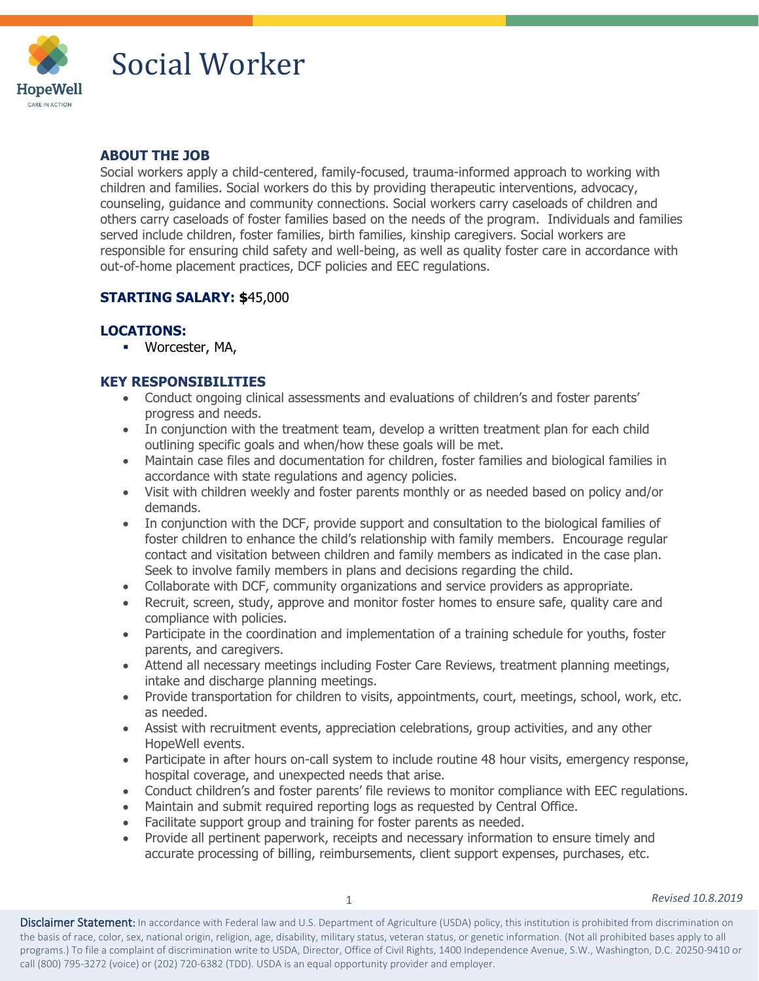

## Social Worker

#### **ABOUT THE JOB**

Social workers apply a child-centered, family-focused, trauma-informed approach to working with children and families. Social workers do this by providing therapeutic interventions, advocacy, counseling, guidance and community connections. Social workers carry caseloads of children and others carry caseloads of foster families based on the needs of the program. Individuals and families served include children, foster families, birth families, kinship caregivers. Social workers are responsible for ensuring child safety and well-being, as well as quality foster care in accordance with out-of-home placement practices, DCF policies and EEC regulations.

### **STARTING SALARY: \$**45,000

#### **LOCATIONS:**

**■** Worcester, MA,

### **KEY RESPONSIBILITIES**

- Conduct ongoing clinical assessments and evaluations of children's and foster parents' progress and needs.
- In conjunction with the treatment team, develop a written treatment plan for each child outlining specific goals and when/how these goals will be met.
- Maintain case files and documentation for children, foster families and biological families in accordance with state regulations and agency policies.
- Visit with children weekly and foster parents monthly or as needed based on policy and/or demands.
- In conjunction with the DCF, provide support and consultation to the biological families of foster children to enhance the child's relationship with family members. Encourage regular contact and visitation between children and family members as indicated in the case plan. Seek to involve family members in plans and decisions regarding the child.
- Collaborate with DCF, community organizations and service providers as appropriate.
- Recruit, screen, study, approve and monitor foster homes to ensure safe, quality care and compliance with policies.
- Participate in the coordination and implementation of a training schedule for youths, foster parents, and caregivers.
- Attend all necessary meetings including Foster Care Reviews, treatment planning meetings, intake and discharge planning meetings.
- Provide transportation for children to visits, appointments, court, meetings, school, work, etc. as needed.
- Assist with recruitment events, appreciation celebrations, group activities, and any other HopeWell events.
- Participate in after hours on-call system to include routine 48 hour visits, emergency response, hospital coverage, and unexpected needs that arise.
- Conduct children's and foster parents' file reviews to monitor compliance with EEC regulations.
- Maintain and submit required reporting logs as requested by Central Office.
- Facilitate support group and training for foster parents as needed.
- Provide all pertinent paperwork, receipts and necessary information to ensure timely and accurate processing of billing, reimbursements, client support expenses, purchases, etc.

Disclaimer Statement: In accordance with Federal law and U.S. Department of Agriculture (USDA) policy, this institution is prohibited from discrimination on the basis of race, color, sex, national origin, religion, age, disability, military status, veteran status, or genetic information. (Not all prohibited bases apply to all programs.) To file a complaint of discrimination write to USDA, Director, Office of Civil Rights, 1400 Independence Avenue, S.W., Washington, D.C. 20250-9410 or call (800) 795-3272 (voice) or (202) 720-6382 (TDD). USDA is an equal opportunity provider and employer.